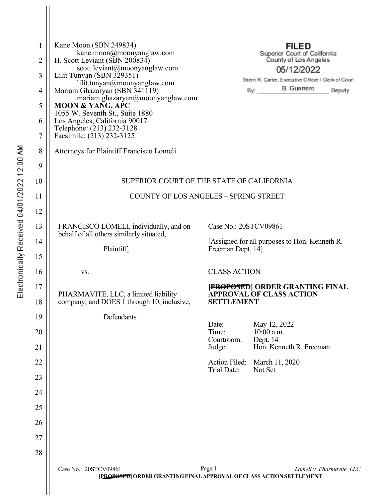| 1  | Kane Moon (SBN 249834)                                                             |                                                       |            | <b>FILED</b>                                                        |                           |  |
|----|------------------------------------------------------------------------------------|-------------------------------------------------------|------------|---------------------------------------------------------------------|---------------------------|--|
| 2  | kane.moon@moonyanglaw.com<br>H. Scott Leviant (SBN 200834)                         | Superior Court of California<br>County of Los Angeles |            |                                                                     |                           |  |
| 3  | scott.leviant@moonyanglaw.com<br>Lilit Tunyan (SBN 329351)                         |                                                       |            | 05/12/2022                                                          |                           |  |
| 4  | lilit.tunyan@moonyanglaw.com<br>Mariam Ghazaryan (SBN 341119)                      |                                                       | By:        | Sherri R. Carter, Executive Officer / Clerk of Court<br>B. Guerrero | Deputy                    |  |
| 5  | mariam.ghazaryan@moonyanglaw.com<br><b>MOON &amp; YANG, APC</b>                    |                                                       |            |                                                                     |                           |  |
| 6  | 1055 W. Seventh St., Suite 1880<br>Los Angeles, California 90017                   |                                                       |            |                                                                     |                           |  |
| 7  | Telephone: (213) 232-3128<br>Facsimile: (213) 232-3125                             |                                                       |            |                                                                     |                           |  |
| 8  | Attorneys for Plaintiff Francisco Lomeli                                           |                                                       |            |                                                                     |                           |  |
| 9  |                                                                                    |                                                       |            |                                                                     |                           |  |
| 10 | SUPERIOR COURT OF THE STATE OF CALIFORNIA                                          |                                                       |            |                                                                     |                           |  |
| 11 | <b>COUNTY OF LOS ANGELES - SPRING STREET</b>                                       |                                                       |            |                                                                     |                           |  |
| 12 |                                                                                    |                                                       |            |                                                                     |                           |  |
| 13 | FRANCISCO LOMELI, individually, and on                                             | Case No.: 20STCV09861                                 |            |                                                                     |                           |  |
| 14 | behalf of all others similarly situated,                                           |                                                       |            | [Assigned for all purposes to Hon. Kenneth R.                       |                           |  |
| 15 | Plaintiff,                                                                         | Freeman Dept. 14]                                     |            |                                                                     |                           |  |
| 16 | VS.                                                                                | <b>CLASS ACTION</b>                                   |            |                                                                     |                           |  |
| 17 |                                                                                    |                                                       |            | [PROPOSED] ORDER GRANTING FINAL                                     |                           |  |
| 18 | PHARMAVITE, LLC, a limited liability<br>company; and DOES 1 through 10, inclusive, | <b>APPROVAL OF CLASS ACTION</b><br><b>SETTLEMENT</b>  |            |                                                                     |                           |  |
| 19 | Defendants                                                                         |                                                       |            |                                                                     |                           |  |
| 20 |                                                                                    | Date:<br>Time:                                        | 10:00 a.m. | May 12, 2022                                                        |                           |  |
| 21 |                                                                                    | Courtroom:<br>Judge:                                  | Dept. 14   | Hon. Kenneth R. Freeman                                             |                           |  |
| 22 |                                                                                    | Action Filed:<br>Trial Date:                          | Not Set    | March 11, 2020                                                      |                           |  |
| 23 |                                                                                    |                                                       |            |                                                                     |                           |  |
| 24 |                                                                                    |                                                       |            |                                                                     |                           |  |
| 25 |                                                                                    |                                                       |            |                                                                     |                           |  |
| 26 |                                                                                    |                                                       |            |                                                                     |                           |  |
| 27 |                                                                                    |                                                       |            |                                                                     |                           |  |
| 28 |                                                                                    |                                                       |            |                                                                     |                           |  |
|    | Case No.: 20STCV09861                                                              | Page 1                                                |            |                                                                     | Lomeli v. Pharmavite, LLC |  |
|    | [PROPOSED] ORDER GRANTING FINAL APPROVAL OF CLASS ACTION SETTLEMENT                |                                                       |            |                                                                     |                           |  |
|    |                                                                                    |                                                       |            |                                                                     |                           |  |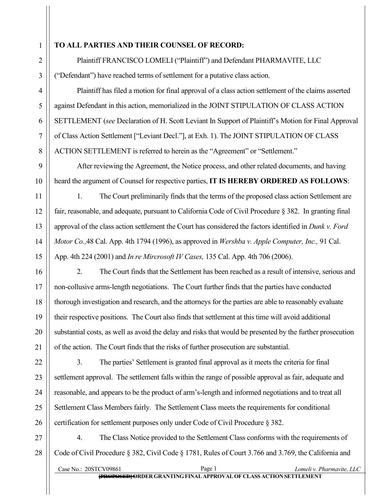## **TO ALL PARTIES AND THEIR COUNSEL OF RECORD:**

Plaintiff FRANCISCO LOMELI ("Plaintiff") and Defendant PHARMAVITE, LLC ("Defendant") have reached terms of settlement for a putative class action.

Plaintiff has filed a motion for final approval of a class action settlement of the claims asserted against Defendant in this action, memorialized in the JOINT STIPULATION OF CLASS ACTION SETTLEMENT (*see* Declaration of H. Scott Leviant In Support of Plaintiff's Motion for Final Approval of Class Action Settlement ["Leviant Decl."], at Exh. 1). The JOINT STIPULATION OF CLASS ACTION SETTLEMENT is referred to herein as the "Agreement" or "Settlement."

After reviewing the Agreement, the Notice process, and other related documents, and having heard the argument of Counsel for respective parties, **IT IS HEREBY ORDERED AS FOLLOWS**:

1. The Court preliminarily finds that the terms of the proposed class action Settlement are fair, reasonable, and adequate, pursuant to California Code of Civil Procedure § 382. In granting final approval of the class action settlement the Court has considered the factors identified in *Dunk v. Ford Motor Co.,*48 Cal. App. 4th 1794 (1996), as approved in *Wershba v. Apple Computer, Inc.,* 91 Cal. App. 4th 224 (2001) and *In re Mircrosoft IV Cases,* 135 Cal. App. 4th 706 (2006).

2. The Court finds that the Settlement has been reached as a result of intensive, serious and non-collusive arms-length negotiations. The Court further finds that the parties have conducted thorough investigation and research, and the attorneys for the parties are able to reasonably evaluate their respective positions. The Court also finds that settlement at this time will avoid additional substantial costs, as well as avoid the delay and risks that would be presented by the further prosecution of the action. The Court finds that the risks of further prosecution are substantial.

3. The parties' Settlement is granted final approval as it meets the criteria for final settlement approval. The settlement falls within the range of possible approval as fair, adequate and reasonable, and appears to be the product of arm's-length and informed negotiations and to treat all Settlement Class Members fairly. The Settlement Class meets the requirements for conditional certification for settlement purposes only under Code of Civil Procedure § 382.

4. The Class Notice provided to the Settlement Class conforms with the requirements of Code of Civil Procedure § 382, Civil Code § 1781, Rules of Court 3.766 and 3.769, the California and

Case No.: 20STCV09861 Page 1 *Lomeli v. Pharmavite, LLC* **[PROPOSED]ORDER GRANTINGFINAL APPROVAL OF CLASS ACTION SETTLEMENT**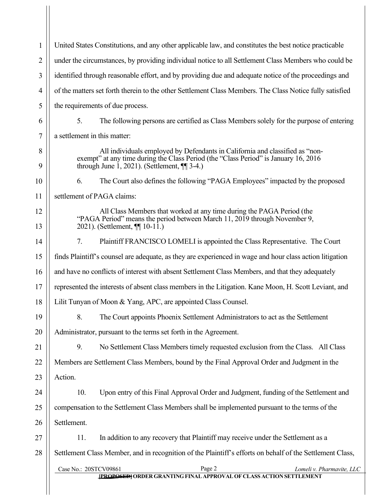Case No.: 20STCV09861 Page 2 *Lomeli v. Pharmavite, LLC* **[PROPOSED]ORDER GRANTINGFINAL APPROVAL OF CLASS ACTION SETTLEMENT** 1 2 3 4 5 6 7 8 9 10 11 12 13 14 15 16 17 18 19 20 21 22 23 24 25 26 27 28 United States Constitutions, and any other applicable law, and constitutes the best notice practicable under the circumstances, by providing individual notice to all Settlement Class Members who could be identified through reasonable effort, and by providing due and adequate notice of the proceedings and of the matters set forth therein to the other Settlement Class Members. The Class Notice fully satisfied the requirements of due process. 5. The following persons are certified as Class Members solely for the purpose of entering a settlement in this matter: All individuals employed by Defendants in California and classified as "nonexempt" at any time during the Class Period (the "Class Period" is January 16, 2016 through June 1, 2021). (Settlement,  $\P$ [ 3-4.) 6. The Court also defines the following "PAGA Employees" impacted by the proposed settlement of PAGA claims: All Class Members that worked at any time during the PAGA Period (the "PAGA Period" means the period between March 11, 2019 through November 9, 2021). (Settlement, ¶¶ 10-11.) 7. Plaintiff FRANCISCO LOMELI is appointed the Class Representative. The Court finds Plaintiff's counsel are adequate, as they are experienced in wage and hour class action litigation and have no conflicts of interest with absent Settlement Class Members, and that they adequately represented the interests of absent class members in the Litigation. Kane Moon, H. Scott Leviant, and Lilit Tunyan of Moon & Yang, APC, are appointed Class Counsel. 8. The Court appoints Phoenix Settlement Administrators to act as the Settlement Administrator, pursuant to the terms set forth in the Agreement. 9. No Settlement Class Members timely requested exclusion from the Class. All Class Members are Settlement Class Members, bound by the Final Approval Order and Judgment in the Action. 10. Upon entry of this Final Approval Order and Judgment, funding of the Settlement and compensation to the Settlement Class Members shall be implemented pursuant to the terms of the Settlement. 11. In addition to any recovery that Plaintiff may receive under the Settlement as a Settlement Class Member, and in recognition of the Plaintiff's efforts on behalf of the Settlement Class,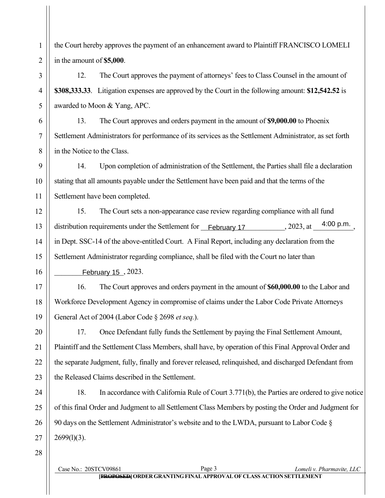the Court hereby approves the payment of an enhancement award to Plaintiff FRANCISCO LOMELI in the amount of **\$5,000**.

12. The Court approves the payment of attorneys' fees to Class Counsel in the amount of **\$308,333.33**. Litigation expenses are approved by the Court in the following amount: **\$12,542.52** is awarded to Moon & Yang, APC.

13. The Court approves and orders payment in the amount of **\$9,000.00** to Phoenix Settlement Administrators for performance of its services as the Settlement Administrator, as set forth in the Notice to the Class.

14. Upon completion of administration of the Settlement, the Parties shall file a declaration stating that all amounts payable under the Settlement have been paid and that the terms of the Settlement have been completed.

15. The Court sets a non-appearance case review regarding compliance with all fund distribution requirements under the Settlement for  $\Box$   $\Diamond$  and  $\angle$   $\Diamond$  and  $\Diamond$  are  $\Box$ ,  $\Box$   $\Box$   $\Box$   $\Box$   $\Box$   $\Box$ ,  $\Box$ in Dept. SSC-14 of the above-entitled Court. A Final Report, including any declaration from the Settlement Administrator regarding compliance, shall be filed with the Court no later than  $\oslash$ ài'æi $\hat{F}$ [, 2023.

16. The Court approves and orders payment in the amount of **\$60,000.00** to the Labor and Workforce Development Agency in compromise of claims under the Labor Code Private Attorneys General Act of 2004 (Labor Code § 2698 *et seq.*).

17. Once Defendant fully funds the Settlement by paying the Final Settlement Amount, Plaintiff and the Settlement Class Members, shall have, by operation of this Final Approval Order and the separate Judgment, fully, finally and forever released, relinquished, and discharged Defendant from the Released Claims described in the Settlement.

18. In accordance with California Rule of Court 3.771(b), the Parties are ordered to give notice of this final Order and Judgment to all Settlement Class Members by posting the Order and Judgment for 90 days on the Settlement Administrator's website and to the LWDA, pursuant to Labor Code §  $2699(1)(3)$ .

28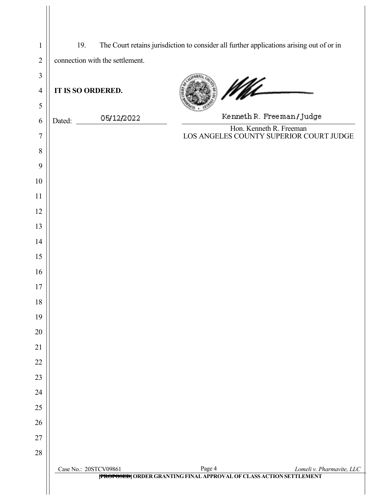| $\mathbf{1}$   | 19.                             | The Court retains jurisdiction to consider all further applications arising out of or in                          |
|----------------|---------------------------------|-------------------------------------------------------------------------------------------------------------------|
| $\overline{2}$ | connection with the settlement. |                                                                                                                   |
| $\mathfrak{Z}$ |                                 |                                                                                                                   |
| $\overline{4}$ | IT IS SO ORDERED.               | M                                                                                                                 |
| 5              |                                 |                                                                                                                   |
| 6              | 05/12/2022<br>Dated:            | Kenneth R. Freeman/Judge                                                                                          |
| 7              |                                 | Hon. Kenneth R. Freeman<br>LOS ANGELES COUNTY SUPERIOR COURT JUDGE                                                |
| 8              |                                 |                                                                                                                   |
| 9              |                                 |                                                                                                                   |
| 10             |                                 |                                                                                                                   |
| 11             |                                 |                                                                                                                   |
| 12             |                                 |                                                                                                                   |
| 13             |                                 |                                                                                                                   |
| 14             |                                 |                                                                                                                   |
| 15             |                                 |                                                                                                                   |
| 16             |                                 |                                                                                                                   |
| 17             |                                 |                                                                                                                   |
| 18             |                                 |                                                                                                                   |
| 19             |                                 |                                                                                                                   |
| 20             |                                 |                                                                                                                   |
| 21             |                                 |                                                                                                                   |
| 22             |                                 |                                                                                                                   |
| 23             |                                 |                                                                                                                   |
| 24             |                                 |                                                                                                                   |
| 25             |                                 |                                                                                                                   |
| 26             |                                 |                                                                                                                   |
| 27             |                                 |                                                                                                                   |
| 28             |                                 |                                                                                                                   |
|                | Case No.: 20STCV09861           | Page 4<br>Lomeli v. Pharmavite, LLC<br><b>[PROPOSED]</b> ORDER GRANTING FINAL APPROVAL OF CLASS ACTION SETTLEMENT |
|                |                                 |                                                                                                                   |